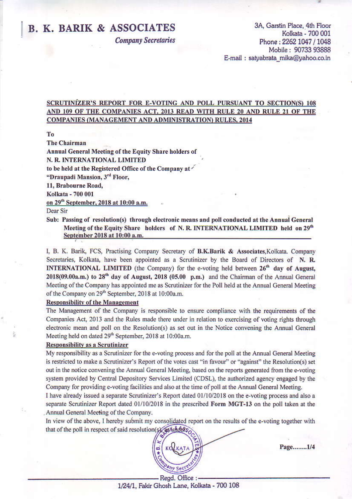# **B. K. BARIK & ASSOCIATES**

**Company Secretaries** 

3A, Garstin Place, 4th Floor Kolkata - 700 001 Phone: 2262 1047 / 1048 Mobile: 90733 93888 E-mail: satyabrata\_mika@yahoo.co.in

## SCRUTINIZER'S REPORT FOR E-VOTING AND POLL PURSUANT TO SECTION(S) 108 AND 109 OF THE COMPANIES ACT, 2013 READ WITH RULE 20 AND RULE 21 OF THE **COMPANIES (MANAGEMENT AND ADMINISTRATION) RULES, 2014**

To

**The Chairman** 

Annual General Meeting of the Equity Share holders of

N. R. INTERNATIONAL LIMITED

to be held at the Registered Office of the Company at  $\checkmark$ 

"Draupadi Mansion, 3rd Floor,

11, Brabourne Road,

Kolkata - 700 001

on 29<sup>th</sup> September, 2018 at 10:00 a.m.

Dear Sir

Sub: Passing of resolution(s) through electronic means and poll conducted at the Annual General Meeting of the Equity Share holders of N.R. INTERNATIONAL LIMITED held on 29<sup>th</sup> September 2018 at 10:00 a.m.

I, B. K. Barik, FCS, Practising Company Secretary of B.K.Barik & Associates, Kolkata. Company Secretaries, Kolkata, have been appointed as a Scrutinizer by the Board of Directors of N. R. **INTERNATIONAL LIMITED** (the Company) for the e-voting held between 26<sup>th</sup> day of August, 2018(09.00a.m.) to 28<sup>th</sup> day of August, 2018 (05.00 p.m.) and the Chairman of the Annual General Meeting of the Company has appointed me as Scrutinizer for the Poll held at the Annual General Meeting of the Company on 29<sup>th</sup> September, 2018 at 10:00a.m.

### **Responsibility of the Management**

The Management of the Company is responsible to ensure compliance with the requirements of the Companies Act, 2013 and the Rules made there under in relation to exercising of voting rights through electronic mean and poll on the Resolution(s) as set out in the Notice convening the Annual General Meeting held on dated 29<sup>th</sup> September, 2018 at 10:00a.m.

### **Responsibility as a Scrutinizer**

My responsibility as a Scrutinizer for the e-voting process and for the poll at the Annual General Meeting is restricted to make a Scrutinizer's Report of the votes cast "in favour" or "against" the Resolution(s) set out in the notice convening the Annual General Meeting, based on the reports generated from the e-voting system provided by Central Depository Services Limited (CDSL), the authorized agency engaged by the Company for providing e-voting facilities and also at the time of poll at the Annual General Meeting.

I have already issued a separate Scrutinizer's Report dated 01/10/2018 on the e-voting process and also a separate Scrutinizer Report dated 01/10/2018 in the prescribed Form MGT-13 on the poll taken at the Annual General Meeting of the Company.

In view of the above, I hereby submit my consolidated report on the results of the e-voting together with that of the poll in respect of said resolution(s) as hidders



Page.......1/4

<sup>-</sup> Regd. Office : -1/24/1, Fakir Ghosh Lane, Kolkata - 700 108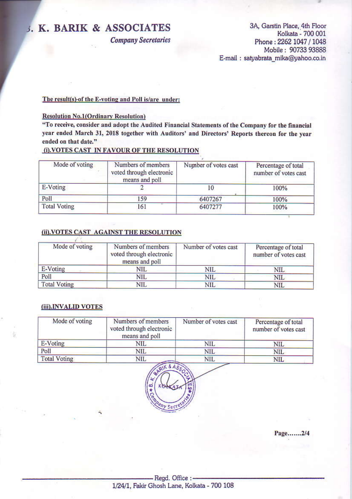# J. K. BARIK & ASSOCIATES

**Company Secretaries** 

3A, Garstin Place, 4th Floor Kolkata - 700 001 Phone: 2262 1047 / 1048 Mobile: 90733 93888 E-mail : satyabrata mika@yahoo.co.in

### The result(s)-of the E-voting and Poll is/are under:

### **Resolution No.1(Ordinary Resolution)**

"To receive, consider and adopt the Audited Financial Statements of the Company for the financial year ended March 31, 2018 together with Auditors' and Directors' Reports thereon for the year ended on that date."

## (i) VOTES CAST IN FAVOUR OF THE RESOLUTION

| Mode of voting      | Numbers of members<br>voted through electronic<br>means and poll | Number of votes cast | Percentage of total<br>number of votes cast |
|---------------------|------------------------------------------------------------------|----------------------|---------------------------------------------|
| E-Voting            |                                                                  | ΙU                   | 100%                                        |
| Poll                | 159                                                              | 6407267              | 100%                                        |
| <b>Total Voting</b> | 161                                                              | 6407277              | 100%                                        |

## (ii). VOTES CAST AGAINST THE RESOLUTION

| Mode of voting      | Numbers of members<br>voted through electronic<br>means and poll | Number of votes cast | Percentage of total<br>number of votes cast |
|---------------------|------------------------------------------------------------------|----------------------|---------------------------------------------|
| E-Voting            | NIL                                                              | NIL                  | NIL                                         |
| Poll                | <b>NIL</b>                                                       | <b>NIL</b>           | <b>NIL</b>                                  |
| <b>Total Voting</b> | NIL                                                              | NIL                  | <b>NIL</b>                                  |

### (iii).INVALID VOTES

| Mode of voting      | Numbers of members<br>voted through electronic<br>means and poll | Number of votes cast | Percentage of total<br>number of votes cast |
|---------------------|------------------------------------------------------------------|----------------------|---------------------------------------------|
| E-Voting            | NIL                                                              | <b>NIL</b>           | <b>NIL</b>                                  |
| Poll                | NIL                                                              | NIL                  | <b>NIL</b>                                  |
| <b>Total Voting</b> | NIL                                                              | <b>NIL</b>           | <b>NIL</b>                                  |



Page.......2/4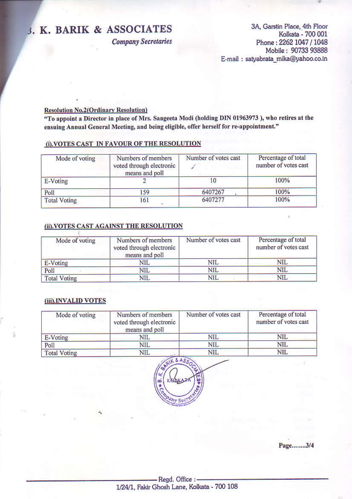# 3. K. BARIK & ASSOCIATES

**Company Secretaries** 

3A, Garstin Place, 4th Floor Kolkata - 700 001 Phone: 2262 1047 / 1048 Mobile: 90733 93888 E-mail : satyabrata\_mika@yahoo.co.in

 $\mathbf{r}$ 

### **Resolution No.2(Ordinary Resolution)**

"To appoint a Director in place of Mrs. Sangeeta Modi (holding DIN 01963973), who retires at the ensuing Annual General Meeting, and being eligible, offer herself for re-appointment."

### (i). VOTES CAST IN FAVOUR OF THE RESOLUTION

| Mode of voting      | Numbers of members<br>voted through electronic<br>means and poll | Number of votes cast | Percentage of total<br>number of votes cast |
|---------------------|------------------------------------------------------------------|----------------------|---------------------------------------------|
| E-Voting            |                                                                  | $^{10}$              | 100%                                        |
| Poll                | 159                                                              | 6407267              | 100%                                        |
| <b>Total Voting</b> | 161                                                              | 6407277              | 100%                                        |

## (ii). VOTES CAST AGAINST THE RESOLUTION

| Mode of voting      | Numbers of members<br>voted through electronic<br>means and poll | Number of votes cast | Percentage of total<br>number of votes cast |
|---------------------|------------------------------------------------------------------|----------------------|---------------------------------------------|
| E-Voting            | NIL                                                              | NIL                  | <b>NIL</b>                                  |
| Poll                | NIL                                                              | NIL                  | NIL                                         |
| <b>Total Voting</b> | NIL                                                              | NIL                  | NIL                                         |

### (iii).INVALID VOTES

| Mode of voting      | Numbers of members<br>voted through electronic<br>means and poll | Number of votes cast | Percentage of total<br>number of votes cast |
|---------------------|------------------------------------------------------------------|----------------------|---------------------------------------------|
| E-Voting            | <b>NIL</b>                                                       | NIL                  | NIL                                         |
| Poll                | <b>NIL</b>                                                       | NIL                  | NIL                                         |
| <b>Total Voting</b> | NIL                                                              | <b>NIL</b>           | NIL                                         |



Page.......3/4